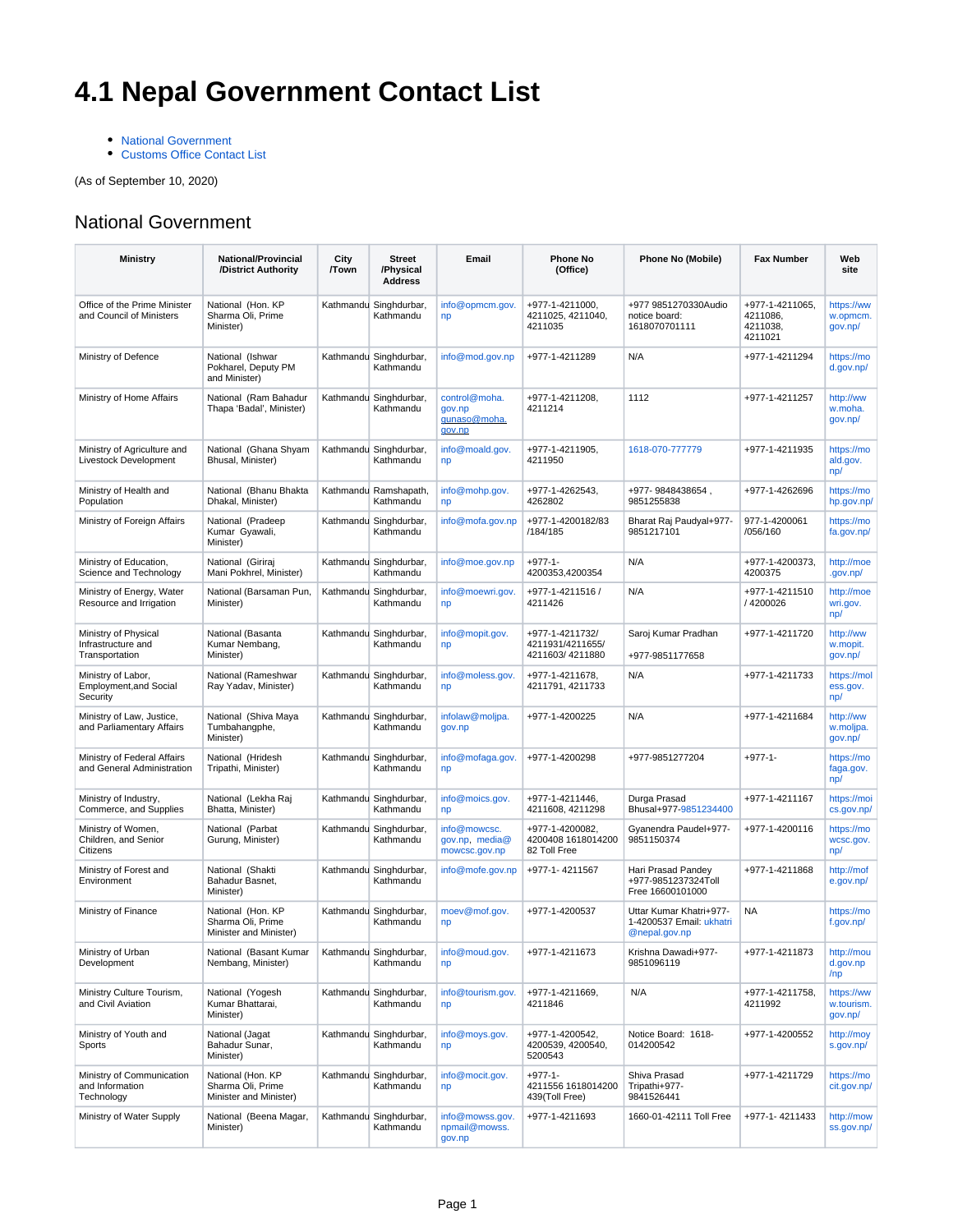## **4.1 Nepal Government Contact List**

• [National Government](#page-0-0)

• [Customs Office Contact List](#page-1-0)

(As of September 10, 2020)

## <span id="page-0-0"></span>National Government

| <b>Ministry</b>                                                 | <b>National/Provincial</b><br>/District Authority                | City<br>/Town | <b>Street</b><br>/Physical<br><b>Address</b> | Email                                             | Phone No<br>(Office)                                   | Phone No (Mobile)                                                    | <b>Fax Number</b>                                  | Web<br>site                         |
|-----------------------------------------------------------------|------------------------------------------------------------------|---------------|----------------------------------------------|---------------------------------------------------|--------------------------------------------------------|----------------------------------------------------------------------|----------------------------------------------------|-------------------------------------|
| Office of the Prime Minister<br>and Council of Ministers        | National (Hon. KP<br>Sharma Oli, Prime<br>Minister)              |               | Kathmandu Singhdurbar,<br>Kathmandu          | info@opmcm.gov.<br>np                             | +977-1-4211000,<br>4211025, 4211040,<br>4211035        | +977 9851270330Audio<br>notice board:<br>1618070701111               | +977-1-4211065,<br>4211086,<br>4211038,<br>4211021 | https://ww<br>w.opmcm.<br>gov.np/   |
| Ministry of Defence                                             | National (Ishwar<br>Pokharel, Deputy PM<br>and Minister)         |               | Kathmandu Singhdurbar,<br>Kathmandu          | info@mod.gov.np                                   | +977-1-4211289                                         | N/A                                                                  | +977-1-4211294                                     | https://mo<br>d.gov.np/             |
| Ministry of Home Affairs                                        | National (Ram Bahadur<br>Thapa 'Badal', Minister)                |               | Kathmandu Singhdurbar,<br>Kathmandu          | control@moha.<br>gov.np<br>qunaso@moha.<br>gov.np | +977-1-4211208,<br>4211214                             | 1112                                                                 | +977-1-4211257                                     | http://ww<br>w.moha.<br>gov.np/     |
| Ministry of Agriculture and<br>Livestock Development            | National (Ghana Shyam<br>Bhusal, Minister)                       |               | Kathmandu Singhdurbar,<br>Kathmandu          | info@moald.gov.<br>np                             | +977-1-4211905,<br>4211950                             | 1618-070-777779                                                      | +977-1-4211935                                     | https://mo<br>ald.gov.<br>np/       |
| Ministry of Health and<br>Population                            | National (Bhanu Bhakta<br>Dhakal, Minister)                      |               | Kathmandu Ramshapath,<br>Kathmandu           | info@mohp.gov.<br>np                              | +977-1-4262543,<br>4262802                             | +977-9848438654,<br>9851255838                                       | +977-1-4262696                                     | https://mo<br>hp.gov.np/            |
| Ministry of Foreign Affairs                                     | National (Pradeep<br>Kumar Gyawali,<br>Minister)                 |               | Kathmandu Singhdurbar,<br>Kathmandu          | info@mofa.gov.np                                  | +977-1-4200182/83<br>/184/185                          | Bharat Raj Paudyal+977-<br>9851217101                                | 977-1-4200061<br>/056/160                          | https://mo<br>fa.gov.np/            |
| Ministry of Education,<br>Science and Technology                | National (Giriraj<br>Mani Pokhrel, Minister)                     |               | Kathmandu Singhdurbar,<br>Kathmandu          | info@moe.gov.np                                   | $+977-1-$<br>4200353,4200354                           | N/A                                                                  | +977-1-4200373,<br>4200375                         | http://moe<br>.gov.np/              |
| Ministry of Energy, Water<br>Resource and Irrigation            | National (Barsaman Pun,<br>Minister)                             |               | Kathmandu Singhdurbar,<br>Kathmandu          | info@moewri.gov.<br>np                            | +977-1-4211516 /<br>4211426                            | N/A                                                                  | +977-1-4211510<br>/ 4200026                        | http://moe<br>wri.gov.<br>np/       |
| Ministry of Physical<br>Infrastructure and<br>Transportation    | National (Basanta<br>Kumar Nembang,<br>Minister)                 |               | Kathmandu Singhdurbar,<br>Kathmandu          | info@mopit.gov.<br>np                             | +977-1-4211732/<br>4211931/4211655/<br>4211603/4211880 | Saroj Kumar Pradhan<br>+977-9851177658                               | +977-1-4211720                                     | http://ww<br>w.mopit.<br>gov.np/    |
| Ministry of Labor,<br><b>Employment, and Social</b><br>Security | National (Rameshwar<br>Ray Yadav, Minister)                      |               | Kathmandu Singhdurbar,<br>Kathmandu          | info@moless.gov.<br>np                            | +977-1-4211678,<br>4211791, 4211733                    | N/A                                                                  | +977-1-4211733                                     | https://mol<br>ess.gov.<br>np/      |
| Ministry of Law, Justice,<br>and Parliamentary Affairs          | National (Shiva Maya<br>Tumbahangphe,<br>Minister)               |               | Kathmandu Singhdurbar,<br>Kathmandu          | infolaw@moljpa.<br>gov.np                         | +977-1-4200225                                         | N/A                                                                  | +977-1-4211684                                     | http://ww<br>w.moljpa.<br>gov.np/   |
| Ministry of Federal Affairs<br>and General Administration       | National (Hridesh<br>Tripathi, Minister)                         |               | Kathmandu Singhdurbar,<br>Kathmandu          | info@mofaga.gov.<br>np                            | +977-1-4200298                                         | +977-9851277204                                                      | $+977-1-$                                          | https://mo<br>faga.gov.<br>np/      |
| Ministry of Industry,<br>Commerce, and Supplies                 | National (Lekha Raj<br>Bhatta, Minister)                         |               | Kathmandu Singhdurbar,<br>Kathmandu          | info@moics.gov.<br>np                             | +977-1-4211446,<br>4211608, 4211298                    | Durga Prasad<br>Bhusal+977-9851234400                                | +977-1-4211167                                     | https://moi<br>cs.gov.np/           |
| Ministry of Women,<br>Children, and Senior<br>Citizens          | National (Parbat<br>Gurung, Minister)                            |               | Kathmandu Singhdurbar,<br>Kathmandu          | info@mowcsc.<br>gov.np, media@<br>mowcsc.gov.np   | +977-1-4200082,<br>4200408 1618014200<br>82 Toll Free  | Gyanendra Paudel+977-<br>9851150374                                  | +977-1-4200116                                     | https://mo<br>wcsc.gov.<br>np/      |
| Ministry of Forest and<br>Environment                           | National (Shakti<br>Bahadur Basnet,<br>Minister)                 |               | Kathmandu Singhdurbar,<br>Kathmandu          | info@mofe.gov.np                                  | +977-1-4211567                                         | Hari Prasad Pandey<br>+977-9851237324Toll<br>Free 16600101000        | +977-1-4211868                                     | http://mof<br>e.gov.np/             |
| Ministry of Finance                                             | National (Hon. KP<br>Sharma Oli, Prime<br>Minister and Minister) |               | Kathmandu Singhdurbar,<br>Kathmandu          | moev@mof.gov.<br>np                               | +977-1-4200537                                         | Uttar Kumar Khatri+977-<br>1-4200537 Email: ukhatri<br>@nepal.gov.np | <b>NA</b>                                          | https://mo<br>f.gov.np/             |
| Ministry of Urban<br>Development                                | National (Basant Kumar<br>Nembang, Minister)                     |               | Kathmandu Singhdurbar,<br>Kathmandu          | info@moud.gov.<br>np                              | +977-1-4211673                                         | Krishna Dawadi+977-<br>9851096119                                    | +977-1-4211873                                     | http://mou<br>d.gov.np<br>/np       |
| Ministry Culture Tourism,<br>and Civil Aviation                 | National (Yogesh<br>Kumar Bhattarai,<br>Minister)                |               | Kathmandu Singhdurbar,<br>Kathmandu          | info@tourism.gov.<br>np                           | +977-1-4211669,<br>4211846                             | N/A                                                                  | +977-1-4211758,<br>4211992                         | https://ww<br>w.tourism.<br>gov.np/ |
| Ministry of Youth and<br>Sports                                 | National (Jagat<br>Bahadur Sunar,<br>Minister)                   |               | Kathmandu Singhdurbar,<br>Kathmandu          | info@moys.gov.<br>np                              | +977-1-4200542,<br>4200539, 4200540,<br>5200543        | Notice Board: 1618-<br>014200542                                     | +977-1-4200552                                     | http://moy<br>s.gov.np/             |
| Ministry of Communication<br>and Information<br>Technology      | National (Hon. KP<br>Sharma Oli, Prime<br>Minister and Minister) |               | Kathmandu Singhdurbar,<br>Kathmandu          | info@mocit.gov.<br>np                             | $+977-1-$<br>4211556 1618014200<br>439(Toll Free)      | Shiva Prasad<br>Tripathi+977-<br>9841526441                          | +977-1-4211729                                     | https://mo<br>cit.gov.np/           |
| Ministry of Water Supply                                        | National (Beena Magar,<br>Minister)                              |               | Kathmandu Singhdurbar,<br>Kathmandu          | info@mowss.gov.<br>npmail@mowss.<br>gov.np        | +977-1-4211693                                         | 1660-01-42111 Toll Free                                              | +977-1-4211433                                     | http://mow<br>ss.gov.np/            |